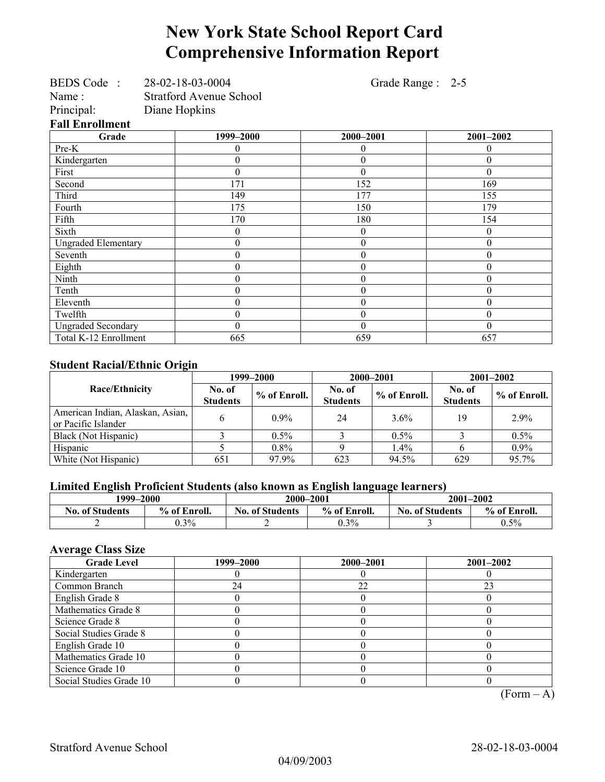# **New York State School Report Card Comprehensive Information Report**

| Name:<br>Principal:             | BEDS Code: 28-02-18-03-0004<br><b>Stratford Avenue School</b><br>Diane Hopkins | Grade Range : 2-5 |                  |
|---------------------------------|--------------------------------------------------------------------------------|-------------------|------------------|
| <b>Fall Enrollment</b><br>Grade | 1999-2000                                                                      | 2000-2001         | 2001-2002        |
| Pre-K                           | 0                                                                              | 0                 | $\theta$         |
|                                 |                                                                                |                   |                  |
| Kindergarten                    | 0                                                                              | $\theta$          | $\theta$         |
| First                           | $\theta$                                                                       | $\Omega$          | $\theta$         |
| Second                          | 171                                                                            | 152               | 169              |
| Third                           | 149                                                                            | 177               | 155              |
| Fourth                          | 175                                                                            | 150               | 179              |
| Fifth                           | 170                                                                            | 180               | 154              |
| Sixth                           | $\theta$                                                                       | $\theta$          | $\overline{0}$   |
| <b>Ungraded Elementary</b>      | $\boldsymbol{0}$                                                               | $\theta$          | $\boldsymbol{0}$ |
| Seventh                         | $\boldsymbol{0}$                                                               | 0                 | $\boldsymbol{0}$ |
| Eighth                          | $\boldsymbol{0}$                                                               | $\theta$          | $\boldsymbol{0}$ |
| Ninth                           | $\boldsymbol{0}$                                                               | $\theta$          | $\boldsymbol{0}$ |
| Tenth                           | $\boldsymbol{0}$                                                               | 0                 | $\boldsymbol{0}$ |
| Eleventh                        | $\overline{0}$                                                                 | $\theta$          | $\theta$         |
| Twelfth                         | $\boldsymbol{0}$                                                               | $\theta$          | $\boldsymbol{0}$ |
| <b>Ungraded Secondary</b>       | $\theta$                                                                       | $\theta$          | $\boldsymbol{0}$ |
| Total K-12 Enrollment           | 665                                                                            | 659               | 657              |

### **Student Racial/Ethnic Origin**

|                                                         | 1999–2000                 |                | 2000-2001                 |              | $2001 - 2002$             |                |
|---------------------------------------------------------|---------------------------|----------------|---------------------------|--------------|---------------------------|----------------|
| Race/Ethnicity                                          | No. of<br><b>Students</b> | $%$ of Enroll. | No. of<br><b>Students</b> | % of Enroll. | No. of<br><b>Students</b> | $%$ of Enroll. |
| American Indian, Alaskan, Asian,<br>or Pacific Islander |                           | $0.9\%$        | 24                        | 3.6%         | 19                        | 2.9%           |
| Black (Not Hispanic)                                    |                           | $0.5\%$        |                           | $0.5\%$      |                           | $0.5\%$        |
| Hispanic                                                |                           | $0.8\%$        |                           | 1.4%         |                           | $0.9\%$        |
| White (Not Hispanic)                                    | 651                       | 97.9%          | 623                       | 94.5%        | 629                       | 95.7%          |

## **Limited English Proficient Students (also known as English language learners)**

| 1999–2000              |              | 2000-2001              |              | 2001-2002                              |         |
|------------------------|--------------|------------------------|--------------|----------------------------------------|---------|
| <b>No. of Students</b> | % of Enroll. | <b>No. of Students</b> | % of Enroll. | % of Enroll.<br><b>No. of Students</b> |         |
|                        | $0.3\%$      |                        | $0.3\%$      |                                        | $0.5\%$ |

### **Average Class Size**

| <b>Grade Level</b>      | 1999–2000 | 2000-2001 | $2001 - 2002$ |
|-------------------------|-----------|-----------|---------------|
| Kindergarten            |           |           |               |
| Common Branch           | 24        | 22        | 23            |
| English Grade 8         |           |           |               |
| Mathematics Grade 8     |           |           |               |
| Science Grade 8         |           |           |               |
| Social Studies Grade 8  |           |           |               |
| English Grade 10        |           |           |               |
| Mathematics Grade 10    |           |           |               |
| Science Grade 10        |           |           |               |
| Social Studies Grade 10 |           |           |               |

 $(Form - A)$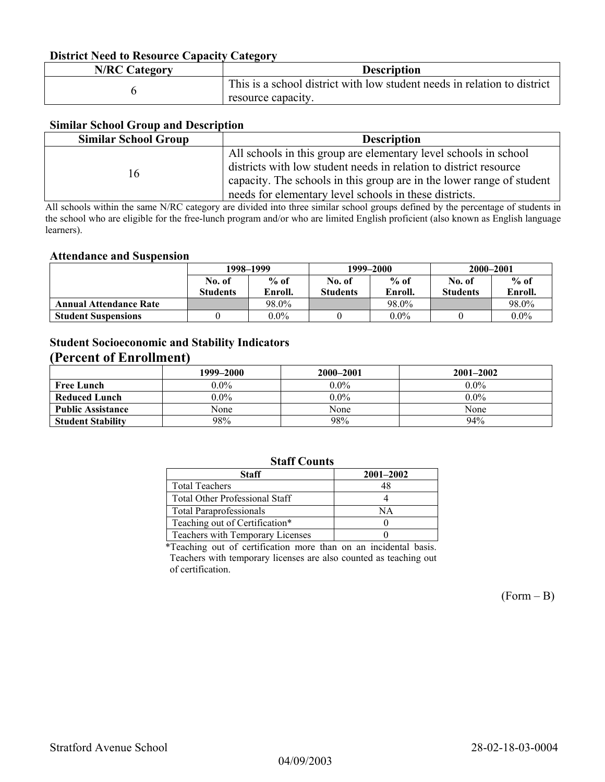## **District Need to Resource Capacity Category**

| <b>N/RC Category</b> | <b>Description</b>                                                                             |
|----------------------|------------------------------------------------------------------------------------------------|
|                      | This is a school district with low student needs in relation to district<br>resource capacity. |

#### **Similar School Group and Description**

| <b>Similar School Group</b> | <b>Description</b>                                                    |
|-----------------------------|-----------------------------------------------------------------------|
|                             | All schools in this group are elementary level schools in school      |
| 16                          | districts with low student needs in relation to district resource     |
|                             | capacity. The schools in this group are in the lower range of student |
|                             | needs for elementary level schools in these districts.                |

All schools within the same N/RC category are divided into three similar school groups defined by the percentage of students in the school who are eligible for the free-lunch program and/or who are limited English proficient (also known as English language learners).

#### **Attendance and Suspension**

|                               | 1998–1999       |         |                 | 1999–2000 | 2000-2001       |         |
|-------------------------------|-----------------|---------|-----------------|-----------|-----------------|---------|
|                               | No. of          | $%$ of  | No. of          | $%$ of    | No. of          | $%$ of  |
|                               | <b>Students</b> | Enroll. | <b>Students</b> | Enroll.   | <b>Students</b> | Enroll. |
| <b>Annual Attendance Rate</b> |                 | 98.0%   |                 | 98.0%     |                 | 98.0%   |
| <b>Student Suspensions</b>    |                 | $0.0\%$ |                 | $0.0\%$   |                 | $0.0\%$ |

## **Student Socioeconomic and Stability Indicators (Percent of Enrollment)**

|                          | 1999–2000 | 2000-2001 | $2001 - 2002$ |
|--------------------------|-----------|-----------|---------------|
| <b>Free Lunch</b>        | $0.0\%$   | $0.0\%$   | $0.0\%$       |
| Reduced Lunch            | $0.0\%$   | $0.0\%$   | $0.0\%$       |
| <b>Public Assistance</b> | None      | None      | None          |
| <b>Student Stability</b> | 98%       | 98%       | 94%           |

## **Staff Counts**

| Staff                                 | $2001 - 2002$ |
|---------------------------------------|---------------|
| <b>Total Teachers</b>                 |               |
| <b>Total Other Professional Staff</b> |               |
| <b>Total Paraprofessionals</b>        | NΑ            |
| Teaching out of Certification*        |               |
| Teachers with Temporary Licenses      |               |

\*Teaching out of certification more than on an incidental basis. Teachers with temporary licenses are also counted as teaching out of certification.

 $(Form - B)$